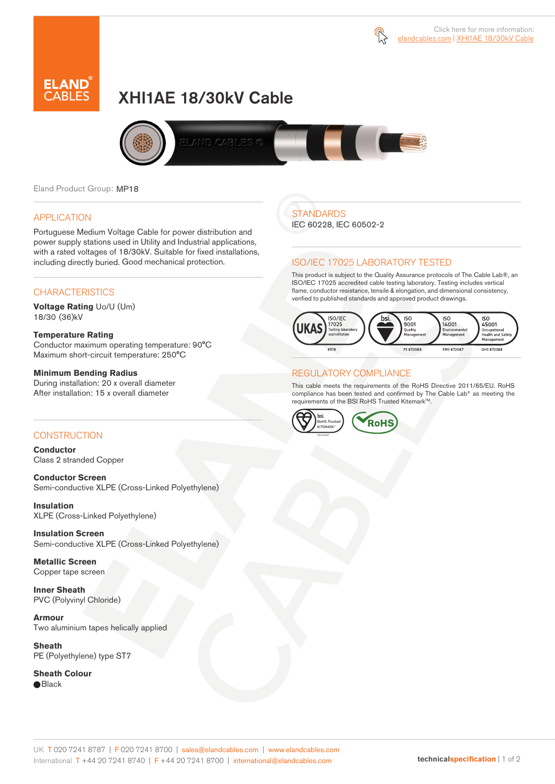



# XHI1AE 18/30kV Cable



Eland Product Group: MP18

### APPLICATION

Portuguese Medium Voltage Cable for power distribution and power supply stations used in Utility and Industrial applications, with a rated voltages of 18/30kV. Suitable for fixed installations, including directly buried. Good mechanical protection.

### **CHARACTERISTICS**

**Voltage Rating** Uo/U (Um) 18/30 (36)kV

### **Temperature Rating**

Conductor maximum operating temperature: 90°C Maximum short-circuit temperature: 250°C

### **Minimum Bending Radius**

During installation: 20 x overall diameter After installation: 15 x overall diameter

### CONSTRUCTION

**Conductor**  Class 2 stranded Copper

**Conductor Screen** Semi-conductive XLPE (Cross-Linked Polyethylene)

**Insulation** XLPE (Cross-Linked Polyethylene)

**Insulation Screen** Semi-conductive XLPE (Cross-Linked Polyethylene)

**Metallic Screen**  Copper tape screen

**Inner Sheath** PVC (Polyvinyl Chloride)

**Armour** Two aluminium tapes helically applied

**Sheath** PE (Polyethylene) type ST7

**Sheath Colour**  ● Black

## **STANDARDS**

IEC 60228, IEC 60502-2

### ISO/IEC 17025 LABORATORY TESTED

This product is subject to the Quality Assurance protocols of The Cable Lab®, an ISO/IEC 17025 accredited cable testing laboratory. Testing includes vertical flame, conductor resistance, tensile & elongation, and dimensional consistency, verified to published standards and approved product drawings.



### REGULATORY COMPLIANCE

This cable meets the requirements of the RoHS Directive 2011/65/EU. RoHS compliance has been tested and confirmed by The Cable Lab® as meeting the requirements of the BSI RoHS Trusted KitemarkTM.